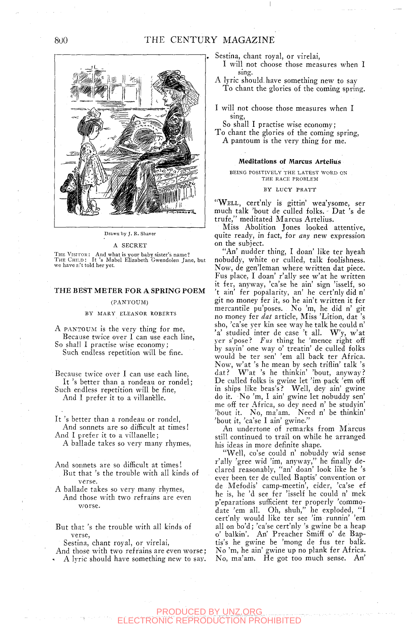

Drawn by J. R, Shaver

#### A SECRET

THE VISITOR: And what is your baby sister's name?<br>ThE ChiLD : It 's Mabel Elizabeth Gwendolen Jane, but<br>we have n't told her yet.

## THE BEST METER FOR A SPRING POEM

### (PANTOUM)

#### BY MARY ELEANOR ROBERTS

A PANTOUM is the very thing for me, Because twice over I can use each line, So shall I practise wise economy; Such endless repetition will be fine.

Because twice over I can use each line, It 's better than a rondeau or rondel; Such endless repetition will be fine. And I prefer it to a villanelle.

It 's better than a rondeau or rondel, And sonnets are so difficult at times!

And I prefer it to a villanelle;

A ballade takes so very many rhymes.

- And sonnets are so difficult at times! But that 's the trouble with all kinds of verse.
- A ballade takes so very many rhymes. And those with two refrains are even *worse.*

But that 's the trouble with all kinds of verse,

Sestina, chant royal, or virelai.

And those with two refrains are even worse; A lyric should have something new to say. Sestina, chant royal, or virelai,

I will not choose those measures when I

A lyric should, have something new to say To chant the glories of the coming spring.

I will not choose those measures when I sing.

So shall I practise wise economy;

To chant the glories of the coming spring, A pantoum is the very thing for me.

### Meditations of Marcus Artelius

BEING POSITIVELY THE LATEST WORD ON THE RACE PROBLEM

## BY LUCY PRATT

"WELL, cert'nly is gittin' wea'ysome, ser much talk 'bout de culled folks. - Dat 's de trufe," meditated Marcus Artelius.

Miss Abolition Jones looked attentive, quite ready, in fact, for *any* new expression on the subject.

'An' nudder thing, I doan' like ter hyeah nobuddy, white or culled, talk foolishness. Now, de gen'leman where written dat piece. Fus place, I doan' r'ally see w'at he written it fer, anyway, 'ca'se he ain' sign 'isself, so 't ain' fer popalarity, an' he cert'nly did n' git no money fer it, so he ain't written it fer mercantile pu'poses. No 'm, he did n' git no money fer *dat* article. Miss 'Lition, dat 's sho, 'ca'se yer kin see way he talk he could n'  $a'$  studied inter de case 't all.  $W'v$ , w'at yer s'pose? *Fus* thing he 'mence right off by sayin' one way o' treatin' de culled folks would be ter sen' 'em all back ter Africa. Now, w'at 's he mean by sech triflin' talk 's dat? W'at 's he thinkin' 'bout, anyway? De culled folks is gwine let 'im pack 'em off in ships like beas's? Well, dey ain' gwine do it. No 'm, I ain' gwine let nobuddy sen' me off ter Africa, so dey need n' be studyin' 'bout it. No, ma'am. Need n' be thinkin' 'bout it, 'ca'se I ain' gwine."

An undertone of remarks from Marcus still continued to trail on while he arranged his ideas in more definite shape.

"Well, co'se could n' nobuddy wid sense r'ally 'gree wid 'im, anyway," he finally declared reasonably, "an' doan' look like he 's ever been ter de culled Baptis' convention or de Mefodis' camp-meetin', eider, 'ca'se ef he is, he 'd see fer 'isself he could n' mek p'eparations sufficient ter properly 'commodate 'em all. Oh, shuh," he exploded, "I cert'nly would like ter see 'im runnin' 'em all on bo'd; 'ca'se cert'nly 's gwine be a heap o' balkin'. An' Preacher Smiff o' de Baptis's he gwine he 'mong de fus ter balk. No 'm, he ain' gwine up no plank fer Africa. No, ma'am. He got too much sense. An'

### PRODUCED BY UNZ.ORG TION PROHIBITED